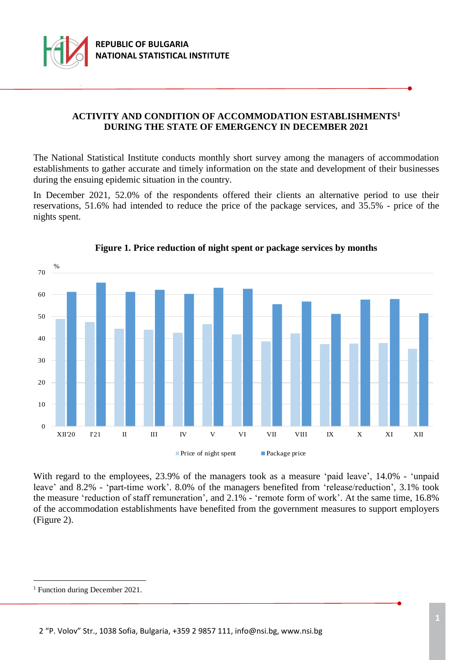

## **ACTIVITY AND CONDITION OF ACCOMMODATION ESTABLISHMENTS<sup>1</sup> DURING THE STATE OF EMERGENCY IN DECEMBER 2021**

The National Statistical Institute conducts monthly short survey among the managers of accommodation establishments to gather accurate and timely information on the state and development of their businesses during the ensuing epidemic situation in the country.

In December 2021, 52.0% of the respondents offered their clients an alternative period to use their reservations, 51.6% had intended to reduce the price of the package services, and 35.5% - price of the nights spent.



**Figure 1. Price reduction of night spent or package services by months**

With regard to the employees, 23.9% of the managers took as a measure 'paid leave', 14.0% - 'unpaid leave' and 8.2% - 'part-time work'. 8.0% of the managers benefited from 'release/reduction', 3.1% took the measure 'reduction of staff remuneration', and 2.1% - 'remote form of work'. At the same time, 16.8% of the accommodation establishments have benefited from the government measures to support employers (Figure 2).

i<br>L

<sup>&</sup>lt;sup>1</sup> Function during December 2021.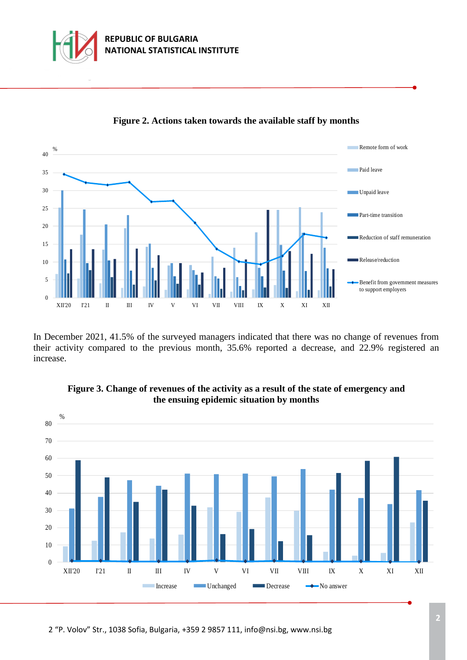



**Figure 2. Actions taken towards the available staff by months**

In December 2021, 41.5% of the surveyed managers indicated that there was no change of revenues from their activity compared to the previous month, 35.6% reported a decrease, and 22.9% registered an increase.



## **Figure 3. Change of revenues of the activity as a result of the state of emergency and the ensuing epidemic situation by months**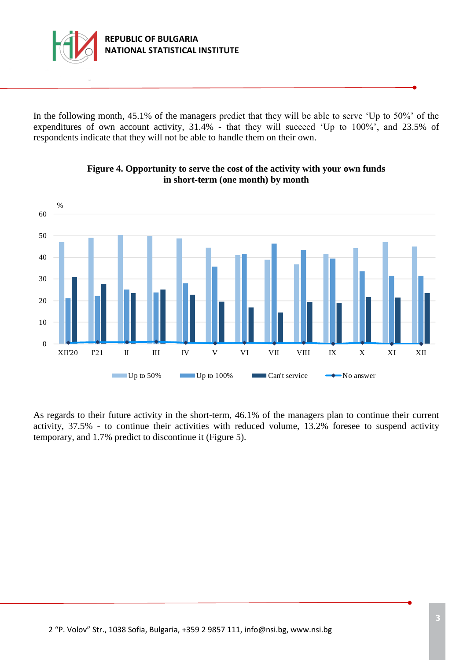

In the following month, 45.1% of the managers predict that they will be able to serve 'Up to 50%' of the expenditures of own account activity, 31.4% - that they will succeed 'Up to 100%', and 23.5% of respondents indicate that they will not be able to handle them on their own.



## **Figure 4. Opportunity to serve the cost of the activity with your own funds in short-term (one month) by month**

As regards to their future activity in the short-term, 46.1% of the managers plan to continue their current activity, 37.5% - to continue their activities with reduced volume, 13.2% foresee to suspend activity temporary, and 1.7% predict to discontinue it (Figure 5).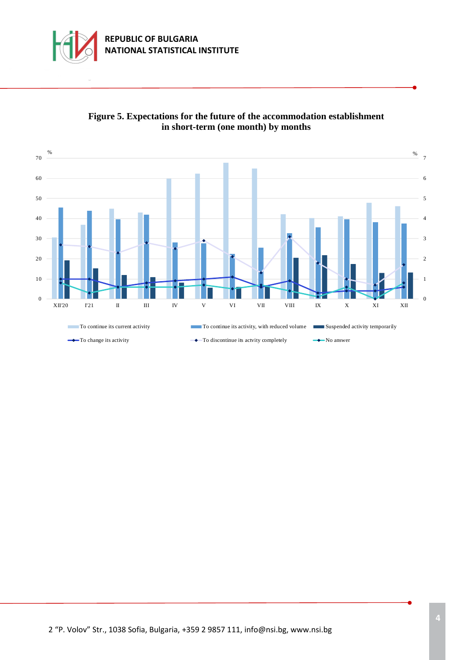



**Figure 5. Expectations for the future of the accommodation establishment in short-term (one month) by months**